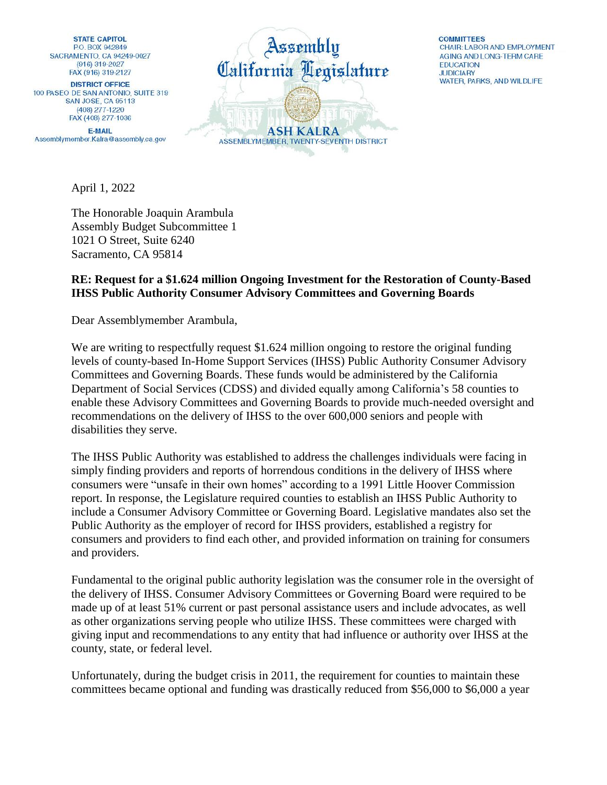

**COMMITTEES CHAIR: LABOR AND EMPLOYMENT** AGING AND LONG-TERM CARE **EDLICATION JUDICIARY** WATER, PARKS, AND WILDLIFE

April 1, 2022

The Honorable Joaquin Arambula Assembly Budget Subcommittee 1 1021 O Street, Suite 6240 Sacramento, CA 95814

## **RE: Request for a \$1.624 million Ongoing Investment for the Restoration of County-Based IHSS Public Authority Consumer Advisory Committees and Governing Boards**

Dear Assemblymember Arambula,

We are writing to respectfully request \$1.624 million ongoing to restore the original funding levels of county-based In-Home Support Services (IHSS) Public Authority Consumer Advisory Committees and Governing Boards. These funds would be administered by the California Department of Social Services (CDSS) and divided equally among California's 58 counties to enable these Advisory Committees and Governing Boards to provide much-needed oversight and recommendations on the delivery of IHSS to the over 600,000 seniors and people with disabilities they serve.

The IHSS Public Authority was established to address the challenges individuals were facing in simply finding providers and reports of horrendous conditions in the delivery of IHSS where consumers were "unsafe in their own homes" according to a 1991 Little Hoover Commission report. In response, the Legislature required counties to establish an IHSS Public Authority to include a Consumer Advisory Committee or Governing Board. Legislative mandates also set the Public Authority as the employer of record for IHSS providers, established a registry for consumers and providers to find each other, and provided information on training for consumers and providers.

Fundamental to the original public authority legislation was the consumer role in the oversight of the delivery of IHSS. Consumer Advisory Committees or Governing Board were required to be made up of at least 51% current or past personal assistance users and include advocates, as well as other organizations serving people who utilize IHSS. These committees were charged with giving input and recommendations to any entity that had influence or authority over IHSS at the county, state, or federal level.

Unfortunately, during the budget crisis in 2011, the requirement for counties to maintain these committees became optional and funding was drastically reduced from \$56,000 to \$6,000 a year